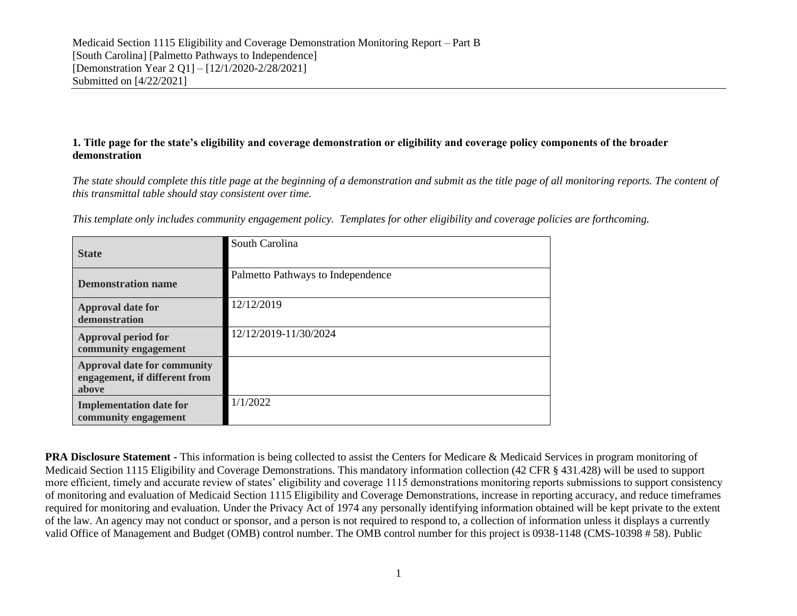### **1. Title page for the state's eligibility and coverage demonstration or eligibility and coverage policy components of the broader demonstration**

*The state should complete this title page at the beginning of a demonstration and submit as the title page of all monitoring reports. The content of this transmittal table should stay consistent over time.*

|  | This template only includes community engagement policy. Templates for other eligibility and coverage policies are forthcoming. |  |  |  |  |  |
|--|---------------------------------------------------------------------------------------------------------------------------------|--|--|--|--|--|
|  |                                                                                                                                 |  |  |  |  |  |
|  |                                                                                                                                 |  |  |  |  |  |

| <b>State</b>                                                                 | South Carolina                    |
|------------------------------------------------------------------------------|-----------------------------------|
| <b>Demonstration name</b>                                                    | Palmetto Pathways to Independence |
| <b>Approval date for</b><br>demonstration                                    | 12/12/2019                        |
| Approval period for<br>community engagement                                  | 12/12/2019-11/30/2024             |
| <b>Approval date for community</b><br>engagement, if different from<br>above |                                   |
| <b>Implementation date for</b><br>community engagement                       | 1/1/2022                          |

**PRA Disclosure Statement -** This information is being collected to assist the Centers for Medicare & Medicaid Services in program monitoring of Medicaid Section 1115 Eligibility and Coverage Demonstrations. This mandatory information collection (42 CFR § 431.428) will be used to support more efficient, timely and accurate review of states' eligibility and coverage 1115 demonstrations monitoring reports submissions to support consistency of monitoring and evaluation of Medicaid Section 1115 Eligibility and Coverage Demonstrations, increase in reporting accuracy, and reduce timeframes required for monitoring and evaluation. Under the Privacy Act of 1974 any personally identifying information obtained will be kept private to the extent of the law. An agency may not conduct or sponsor, and a person is not required to respond to, a collection of information unless it displays a currently valid Office of Management and Budget (OMB) control number. The OMB control number for this project is 0938-1148 (CMS-10398 # 58). Public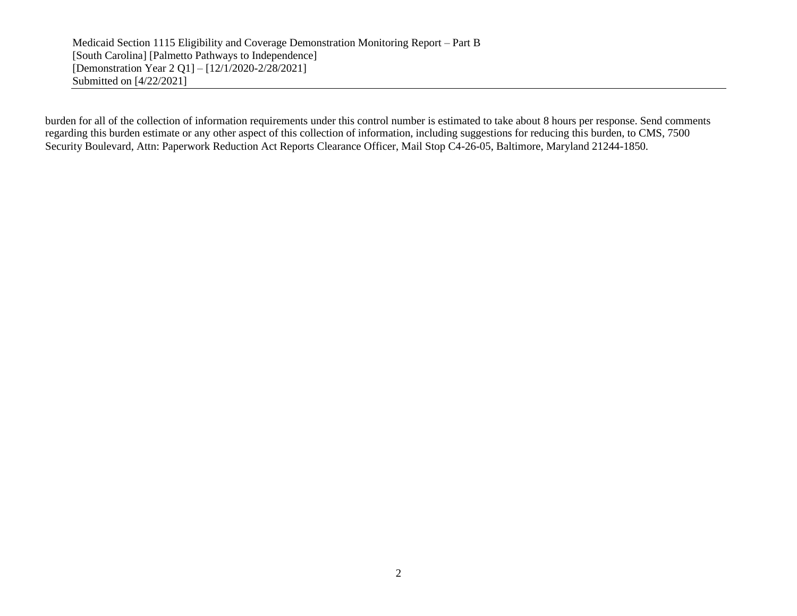burden for all of the collection of information requirements under this control number is estimated to take about 8 hours per response. Send comments regarding this burden estimate or any other aspect of this collection of information, including suggestions for reducing this burden, to CMS, 7500 Security Boulevard, Attn: Paperwork Reduction Act Reports Clearance Officer, Mail Stop C4-26-05, Baltimore, Maryland 21244-1850.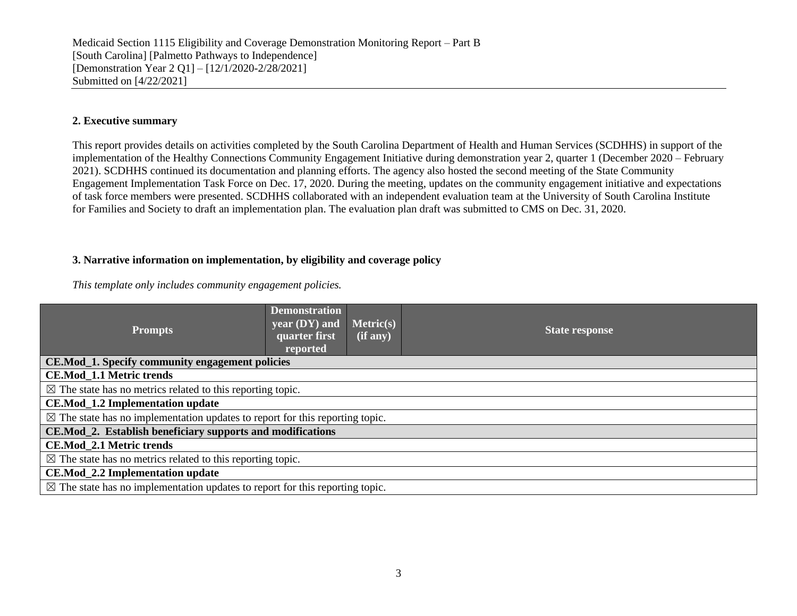#### **2. Executive summary**

This report provides details on activities completed by the South Carolina Department of Health and Human Services (SCDHHS) in support of the implementation of the Healthy Connections Community Engagement Initiative during demonstration year 2, quarter 1 (December 2020 – February 2021). SCDHHS continued its documentation and planning efforts. The agency also hosted the second meeting of the State Community Engagement Implementation Task Force on Dec. 17, 2020. During the meeting, updates on the community engagement initiative and expectations of task force members were presented. SCDHHS collaborated with an independent evaluation team at the University of South Carolina Institute for Families and Society to draft an implementation plan. The evaluation plan draft was submitted to CMS on Dec. 31, 2020.

#### **3. Narrative information on implementation, by eligibility and coverage policy**

*This template only includes community engagement policies.*

| <b>Prompts</b>                                                                          | <b>Demonstration</b><br>year (DY) and<br>quarter first<br>reported | Metric(s)<br>$(i\mathbf{f}$ any) | <b>State response</b>                                                                   |  |  |  |  |  |  |
|-----------------------------------------------------------------------------------------|--------------------------------------------------------------------|----------------------------------|-----------------------------------------------------------------------------------------|--|--|--|--|--|--|
| CE.Mod_1. Specify community engagement policies                                         |                                                                    |                                  |                                                                                         |  |  |  |  |  |  |
| <b>CE.Mod_1.1 Metric trends</b>                                                         |                                                                    |                                  |                                                                                         |  |  |  |  |  |  |
| $\boxtimes$ The state has no metrics related to this reporting topic.                   |                                                                    |                                  |                                                                                         |  |  |  |  |  |  |
| <b>CE.Mod_1.2 Implementation update</b>                                                 |                                                                    |                                  |                                                                                         |  |  |  |  |  |  |
| $\boxtimes$ The state has no implementation updates to report for this reporting topic. |                                                                    |                                  |                                                                                         |  |  |  |  |  |  |
| CE.Mod_2. Establish beneficiary supports and modifications                              |                                                                    |                                  |                                                                                         |  |  |  |  |  |  |
| <b>CE.Mod_2.1 Metric trends</b>                                                         |                                                                    |                                  |                                                                                         |  |  |  |  |  |  |
| $\boxtimes$ The state has no metrics related to this reporting topic.                   |                                                                    |                                  |                                                                                         |  |  |  |  |  |  |
| CE.Mod_2.2 Implementation update                                                        |                                                                    |                                  |                                                                                         |  |  |  |  |  |  |
|                                                                                         |                                                                    |                                  | $\boxtimes$ The state has no implementation updates to report for this reporting topic. |  |  |  |  |  |  |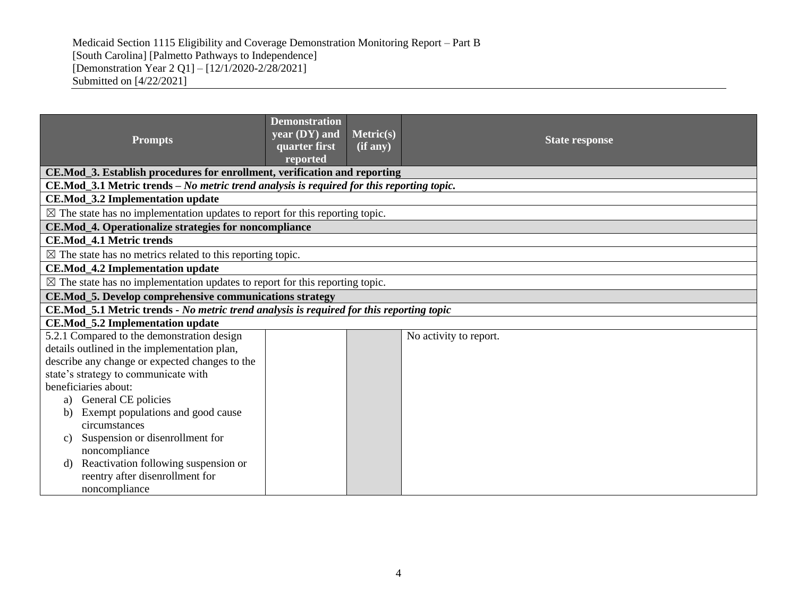| <b>Prompts</b>                                                                           | <b>Demonstration</b><br>year (DY) and<br>quarter first                                    | Metric(s)<br>(if any) | <b>State response</b>  |  |  |  |  |  |  |
|------------------------------------------------------------------------------------------|-------------------------------------------------------------------------------------------|-----------------------|------------------------|--|--|--|--|--|--|
|                                                                                          | reported                                                                                  |                       |                        |  |  |  |  |  |  |
| CE.Mod_3. Establish procedures for enrollment, verification and reporting                |                                                                                           |                       |                        |  |  |  |  |  |  |
|                                                                                          | CE.Mod_3.1 Metric trends - No metric trend analysis is required for this reporting topic. |                       |                        |  |  |  |  |  |  |
| <b>CE.Mod_3.2 Implementation update</b>                                                  |                                                                                           |                       |                        |  |  |  |  |  |  |
| $\boxtimes$ The state has no implementation updates to report for this reporting topic.  |                                                                                           |                       |                        |  |  |  |  |  |  |
| CE.Mod_4. Operationalize strategies for noncompliance                                    |                                                                                           |                       |                        |  |  |  |  |  |  |
| <b>CE.Mod_4.1 Metric trends</b>                                                          |                                                                                           |                       |                        |  |  |  |  |  |  |
| $\boxtimes$ The state has no metrics related to this reporting topic.                    |                                                                                           |                       |                        |  |  |  |  |  |  |
| CE.Mod_4.2 Implementation update                                                         |                                                                                           |                       |                        |  |  |  |  |  |  |
| $\boxtimes$ The state has no implementation updates to report for this reporting topic.  |                                                                                           |                       |                        |  |  |  |  |  |  |
| CE.Mod_5. Develop comprehensive communications strategy                                  |                                                                                           |                       |                        |  |  |  |  |  |  |
| CE.Mod_5.1 Metric trends - No metric trend analysis is required for this reporting topic |                                                                                           |                       |                        |  |  |  |  |  |  |
| <b>CE.Mod_5.2 Implementation update</b>                                                  |                                                                                           |                       |                        |  |  |  |  |  |  |
| 5.2.1 Compared to the demonstration design                                               |                                                                                           |                       | No activity to report. |  |  |  |  |  |  |
| details outlined in the implementation plan,                                             |                                                                                           |                       |                        |  |  |  |  |  |  |
| describe any change or expected changes to the                                           |                                                                                           |                       |                        |  |  |  |  |  |  |
| state's strategy to communicate with                                                     |                                                                                           |                       |                        |  |  |  |  |  |  |
| beneficiaries about:                                                                     |                                                                                           |                       |                        |  |  |  |  |  |  |
| General CE policies<br>a)                                                                |                                                                                           |                       |                        |  |  |  |  |  |  |
| Exempt populations and good cause<br>b)                                                  |                                                                                           |                       |                        |  |  |  |  |  |  |
| circumstances                                                                            |                                                                                           |                       |                        |  |  |  |  |  |  |
| Suspension or disenrollment for<br>C)                                                    |                                                                                           |                       |                        |  |  |  |  |  |  |
| noncompliance                                                                            |                                                                                           |                       |                        |  |  |  |  |  |  |
| Reactivation following suspension or<br>d)                                               |                                                                                           |                       |                        |  |  |  |  |  |  |
| reentry after disenrollment for<br>noncompliance                                         |                                                                                           |                       |                        |  |  |  |  |  |  |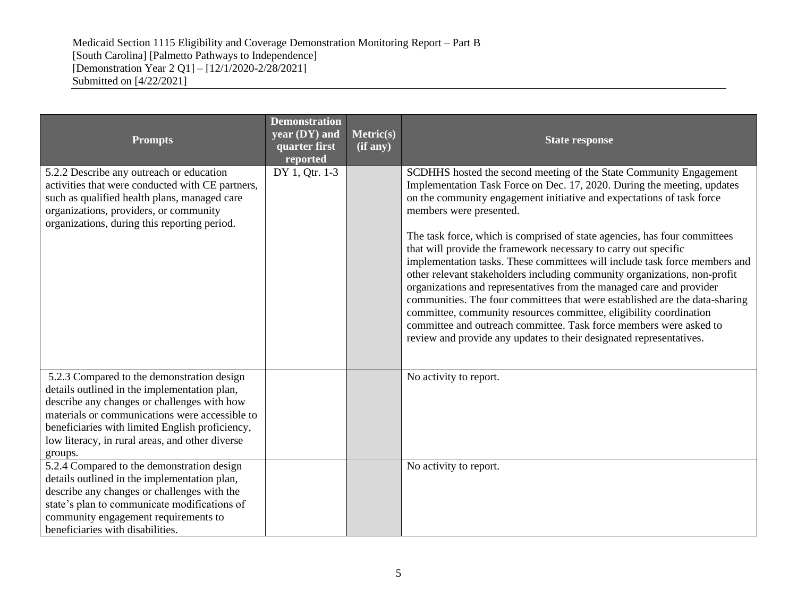| <b>Prompts</b>                                                                                                                                                                                                                                                                                               | <b>Demonstration</b><br>year (DY) and<br>quarter first<br>reported | Metric(s)<br>(if any) | <b>State response</b>                                                                                                                                                                                                                                                                                                                                                                                                                                                                                                                                                                                                                                                                                                                                                                                                                                                                                                                  |
|--------------------------------------------------------------------------------------------------------------------------------------------------------------------------------------------------------------------------------------------------------------------------------------------------------------|--------------------------------------------------------------------|-----------------------|----------------------------------------------------------------------------------------------------------------------------------------------------------------------------------------------------------------------------------------------------------------------------------------------------------------------------------------------------------------------------------------------------------------------------------------------------------------------------------------------------------------------------------------------------------------------------------------------------------------------------------------------------------------------------------------------------------------------------------------------------------------------------------------------------------------------------------------------------------------------------------------------------------------------------------------|
| 5.2.2 Describe any outreach or education<br>activities that were conducted with CE partners,<br>such as qualified health plans, managed care<br>organizations, providers, or community<br>organizations, during this reporting period.                                                                       | DY 1, Qtr. 1-3                                                     |                       | SCDHHS hosted the second meeting of the State Community Engagement<br>Implementation Task Force on Dec. 17, 2020. During the meeting, updates<br>on the community engagement initiative and expectations of task force<br>members were presented.<br>The task force, which is comprised of state agencies, has four committees<br>that will provide the framework necessary to carry out specific<br>implementation tasks. These committees will include task force members and<br>other relevant stakeholders including community organizations, non-profit<br>organizations and representatives from the managed care and provider<br>communities. The four committees that were established are the data-sharing<br>committee, community resources committee, eligibility coordination<br>committee and outreach committee. Task force members were asked to<br>review and provide any updates to their designated representatives. |
| 5.2.3 Compared to the demonstration design<br>details outlined in the implementation plan,<br>describe any changes or challenges with how<br>materials or communications were accessible to<br>beneficiaries with limited English proficiency,<br>low literacy, in rural areas, and other diverse<br>groups. |                                                                    |                       | No activity to report.                                                                                                                                                                                                                                                                                                                                                                                                                                                                                                                                                                                                                                                                                                                                                                                                                                                                                                                 |
| 5.2.4 Compared to the demonstration design<br>details outlined in the implementation plan,<br>describe any changes or challenges with the<br>state's plan to communicate modifications of<br>community engagement requirements to<br>beneficiaries with disabilities.                                        |                                                                    |                       | No activity to report.                                                                                                                                                                                                                                                                                                                                                                                                                                                                                                                                                                                                                                                                                                                                                                                                                                                                                                                 |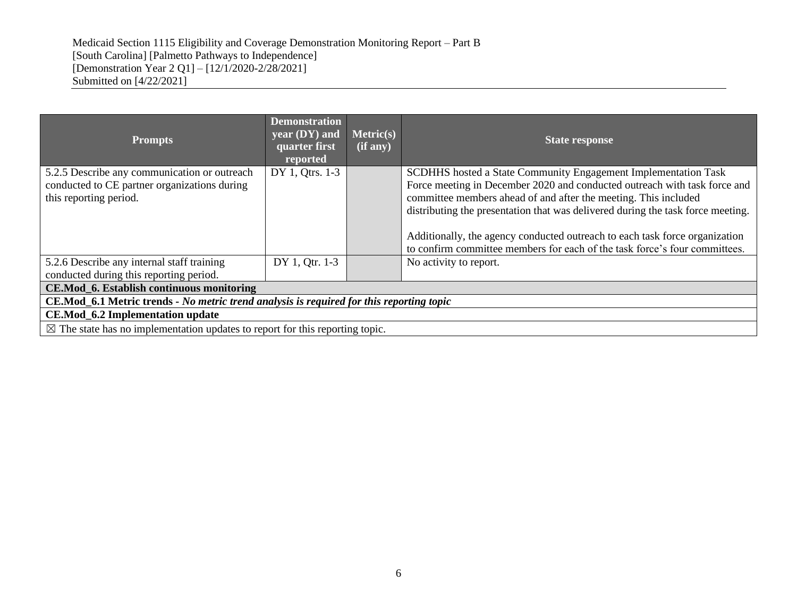| <b>Prompts</b>                                                                                                         | <b>Demonstration</b><br>year (DY) and<br>quarter first<br>reported                      | <b>Metric(s)</b><br>(if any) | <b>State response</b>                                                                                                                                                                                                                                                                                                                                                                                                                                          |  |  |  |  |
|------------------------------------------------------------------------------------------------------------------------|-----------------------------------------------------------------------------------------|------------------------------|----------------------------------------------------------------------------------------------------------------------------------------------------------------------------------------------------------------------------------------------------------------------------------------------------------------------------------------------------------------------------------------------------------------------------------------------------------------|--|--|--|--|
| 5.2.5 Describe any communication or outreach<br>conducted to CE partner organizations during<br>this reporting period. | DY 1, Qtrs. 1-3                                                                         |                              | SCDHHS hosted a State Community Engagement Implementation Task<br>Force meeting in December 2020 and conducted outreach with task force and<br>committee members ahead of and after the meeting. This included<br>distributing the presentation that was delivered during the task force meeting.<br>Additionally, the agency conducted outreach to each task force organization<br>to confirm committee members for each of the task force's four committees. |  |  |  |  |
| 5.2.6 Describe any internal staff training<br>DY 1, Qtr. 1-3<br>conducted during this reporting period.                |                                                                                         |                              | No activity to report.                                                                                                                                                                                                                                                                                                                                                                                                                                         |  |  |  |  |
| CE.Mod_6. Establish continuous monitoring                                                                              |                                                                                         |                              |                                                                                                                                                                                                                                                                                                                                                                                                                                                                |  |  |  |  |
| CE.Mod_6.1 Metric trends - No metric trend analysis is required for this reporting topic                               |                                                                                         |                              |                                                                                                                                                                                                                                                                                                                                                                                                                                                                |  |  |  |  |
| <b>CE.Mod_6.2 Implementation update</b>                                                                                |                                                                                         |                              |                                                                                                                                                                                                                                                                                                                                                                                                                                                                |  |  |  |  |
|                                                                                                                        | $\boxtimes$ The state has no implementation updates to report for this reporting topic. |                              |                                                                                                                                                                                                                                                                                                                                                                                                                                                                |  |  |  |  |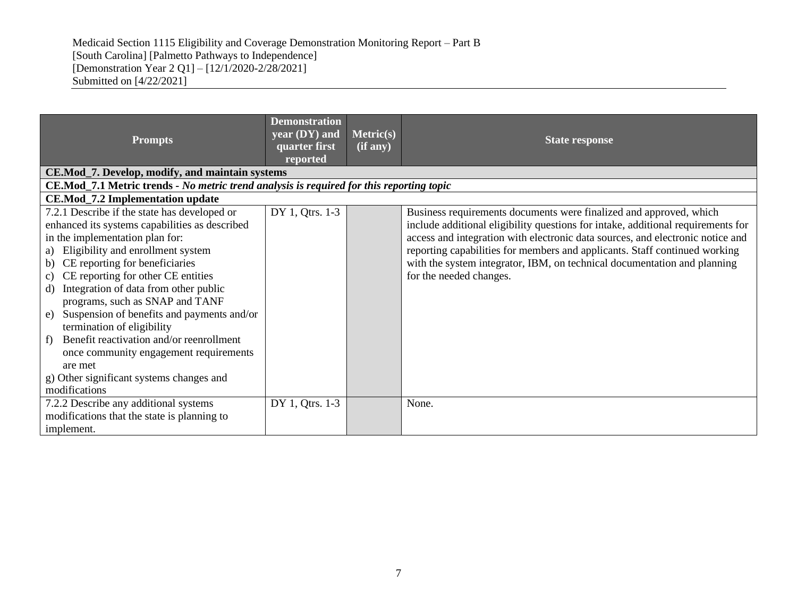| <b>Prompts</b>                                                                                                                                                                                                                                                                                                                                                                                                                                                                                                                                                                                           | <b>Demonstration</b><br>year $(DY)$ and<br>quarter first<br>reported | Metric(s)<br>(if any) | <b>State response</b>                                                                                                                                                                                                                                                                                                                                                                                                         |
|----------------------------------------------------------------------------------------------------------------------------------------------------------------------------------------------------------------------------------------------------------------------------------------------------------------------------------------------------------------------------------------------------------------------------------------------------------------------------------------------------------------------------------------------------------------------------------------------------------|----------------------------------------------------------------------|-----------------------|-------------------------------------------------------------------------------------------------------------------------------------------------------------------------------------------------------------------------------------------------------------------------------------------------------------------------------------------------------------------------------------------------------------------------------|
| CE.Mod_7. Develop, modify, and maintain systems                                                                                                                                                                                                                                                                                                                                                                                                                                                                                                                                                          |                                                                      |                       |                                                                                                                                                                                                                                                                                                                                                                                                                               |
| CE.Mod_7.1 Metric trends - No metric trend analysis is required for this reporting topic                                                                                                                                                                                                                                                                                                                                                                                                                                                                                                                 |                                                                      |                       |                                                                                                                                                                                                                                                                                                                                                                                                                               |
| <b>CE.Mod_7.2 Implementation update</b>                                                                                                                                                                                                                                                                                                                                                                                                                                                                                                                                                                  |                                                                      |                       |                                                                                                                                                                                                                                                                                                                                                                                                                               |
| 7.2.1 Describe if the state has developed or<br>enhanced its systems capabilities as described<br>in the implementation plan for:<br>Eligibility and enrollment system<br>a)<br>CE reporting for beneficiaries<br>b)<br>CE reporting for other CE entities<br>c)<br>Integration of data from other public<br>d)<br>programs, such as SNAP and TANF<br>Suspension of benefits and payments and/or<br>e)<br>termination of eligibility<br>Benefit reactivation and/or reenrollment<br>f)<br>once community engagement requirements<br>are met<br>g) Other significant systems changes and<br>modifications | DY 1, Qtrs. 1-3                                                      |                       | Business requirements documents were finalized and approved, which<br>include additional eligibility questions for intake, additional requirements for<br>access and integration with electronic data sources, and electronic notice and<br>reporting capabilities for members and applicants. Staff continued working<br>with the system integrator, IBM, on technical documentation and planning<br>for the needed changes. |
| 7.2.2 Describe any additional systems<br>modifications that the state is planning to<br>implement.                                                                                                                                                                                                                                                                                                                                                                                                                                                                                                       | DY 1, Qtrs. 1-3                                                      |                       | None.                                                                                                                                                                                                                                                                                                                                                                                                                         |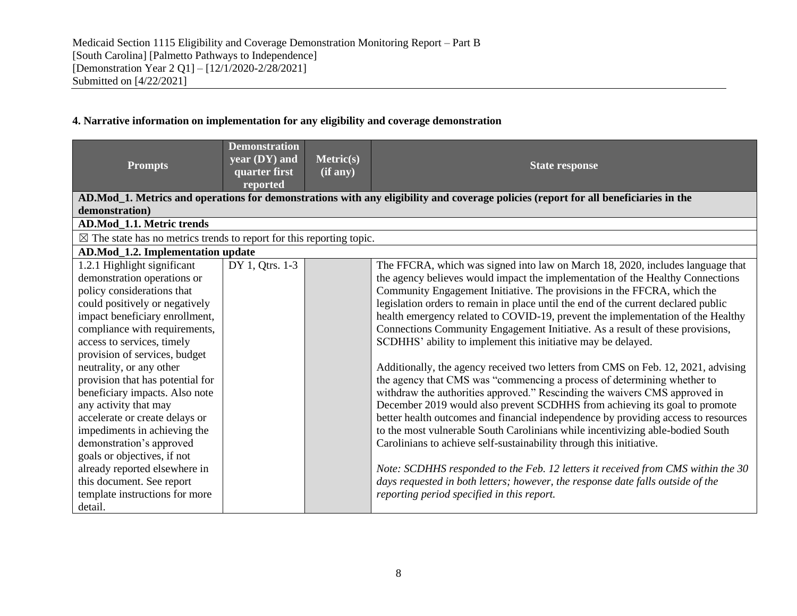## **4. Narrative information on implementation for any eligibility and coverage demonstration**

| <b>Prompts</b>                                                                                                                                                                                                                                                                                                                                                                                                                                                                                                                                                                                                                  | <b>Demonstration</b><br>$year (DY)$ and<br>quarter first<br>reported | <b>Metric(s)</b><br>$(i\overline{f}$ any) | <b>State response</b>                                                                                                                                                                                                                                                                                                                                                                                                                                                                                                                                                                                                                                                                                                                                                                                                                                                                                                                                                                                                                                                                                                                                                                                                                                                                                                                                                 |  |  |  |  |  |  |
|---------------------------------------------------------------------------------------------------------------------------------------------------------------------------------------------------------------------------------------------------------------------------------------------------------------------------------------------------------------------------------------------------------------------------------------------------------------------------------------------------------------------------------------------------------------------------------------------------------------------------------|----------------------------------------------------------------------|-------------------------------------------|-----------------------------------------------------------------------------------------------------------------------------------------------------------------------------------------------------------------------------------------------------------------------------------------------------------------------------------------------------------------------------------------------------------------------------------------------------------------------------------------------------------------------------------------------------------------------------------------------------------------------------------------------------------------------------------------------------------------------------------------------------------------------------------------------------------------------------------------------------------------------------------------------------------------------------------------------------------------------------------------------------------------------------------------------------------------------------------------------------------------------------------------------------------------------------------------------------------------------------------------------------------------------------------------------------------------------------------------------------------------------|--|--|--|--|--|--|
| AD.Mod_1. Metrics and operations for demonstrations with any eligibility and coverage policies (report for all beneficiaries in the<br>demonstration)                                                                                                                                                                                                                                                                                                                                                                                                                                                                           |                                                                      |                                           |                                                                                                                                                                                                                                                                                                                                                                                                                                                                                                                                                                                                                                                                                                                                                                                                                                                                                                                                                                                                                                                                                                                                                                                                                                                                                                                                                                       |  |  |  |  |  |  |
| AD.Mod_1.1. Metric trends                                                                                                                                                                                                                                                                                                                                                                                                                                                                                                                                                                                                       |                                                                      |                                           |                                                                                                                                                                                                                                                                                                                                                                                                                                                                                                                                                                                                                                                                                                                                                                                                                                                                                                                                                                                                                                                                                                                                                                                                                                                                                                                                                                       |  |  |  |  |  |  |
| $\boxtimes$ The state has no metrics trends to report for this reporting topic.                                                                                                                                                                                                                                                                                                                                                                                                                                                                                                                                                 |                                                                      |                                           |                                                                                                                                                                                                                                                                                                                                                                                                                                                                                                                                                                                                                                                                                                                                                                                                                                                                                                                                                                                                                                                                                                                                                                                                                                                                                                                                                                       |  |  |  |  |  |  |
| AD.Mod_1.2. Implementation update                                                                                                                                                                                                                                                                                                                                                                                                                                                                                                                                                                                               |                                                                      |                                           |                                                                                                                                                                                                                                                                                                                                                                                                                                                                                                                                                                                                                                                                                                                                                                                                                                                                                                                                                                                                                                                                                                                                                                                                                                                                                                                                                                       |  |  |  |  |  |  |
| 1.2.1 Highlight significant<br>demonstration operations or<br>policy considerations that<br>could positively or negatively<br>impact beneficiary enrollment,<br>compliance with requirements,<br>access to services, timely<br>provision of services, budget<br>neutrality, or any other<br>provision that has potential for<br>beneficiary impacts. Also note<br>any activity that may<br>accelerate or create delays or<br>impediments in achieving the<br>demonstration's approved<br>goals or objectives, if not<br>already reported elsewhere in<br>this document. See report<br>template instructions for more<br>detail. | DY 1, Qtrs. 1-3                                                      |                                           | The FFCRA, which was signed into law on March 18, 2020, includes language that<br>the agency believes would impact the implementation of the Healthy Connections<br>Community Engagement Initiative. The provisions in the FFCRA, which the<br>legislation orders to remain in place until the end of the current declared public<br>health emergency related to COVID-19, prevent the implementation of the Healthy<br>Connections Community Engagement Initiative. As a result of these provisions,<br>SCDHHS' ability to implement this initiative may be delayed.<br>Additionally, the agency received two letters from CMS on Feb. 12, 2021, advising<br>the agency that CMS was "commencing a process of determining whether to<br>withdraw the authorities approved." Rescinding the waivers CMS approved in<br>December 2019 would also prevent SCDHHS from achieving its goal to promote<br>better health outcomes and financial independence by providing access to resources<br>to the most vulnerable South Carolinians while incentivizing able-bodied South<br>Carolinians to achieve self-sustainability through this initiative.<br>Note: SCDHHS responded to the Feb. 12 letters it received from CMS within the 30<br>days requested in both letters; however, the response date falls outside of the<br>reporting period specified in this report. |  |  |  |  |  |  |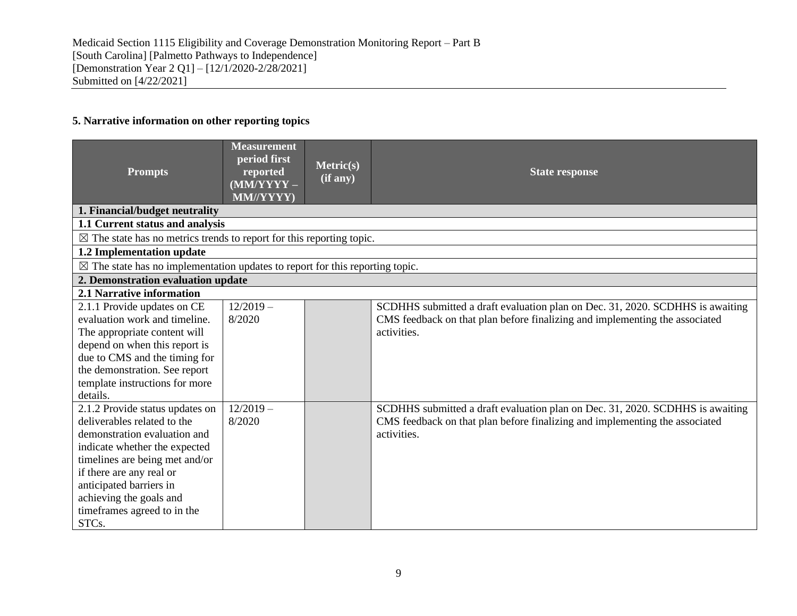# **5. Narrative information on other reporting topics**

| <b>Prompts</b>                                                                                                                                                                                                                                                                              | <b>Measurement</b><br>period first<br>reported<br>$(MM/YYYY -$<br>MM//YYYY) | Metric(s)<br>(if any) | <b>State response</b>                                                                                                                                                       |
|---------------------------------------------------------------------------------------------------------------------------------------------------------------------------------------------------------------------------------------------------------------------------------------------|-----------------------------------------------------------------------------|-----------------------|-----------------------------------------------------------------------------------------------------------------------------------------------------------------------------|
| 1. Financial/budget neutrality                                                                                                                                                                                                                                                              |                                                                             |                       |                                                                                                                                                                             |
| 1.1 Current status and analysis                                                                                                                                                                                                                                                             |                                                                             |                       |                                                                                                                                                                             |
| $\boxtimes$ The state has no metrics trends to report for this reporting topic.                                                                                                                                                                                                             |                                                                             |                       |                                                                                                                                                                             |
| 1.2 Implementation update                                                                                                                                                                                                                                                                   |                                                                             |                       |                                                                                                                                                                             |
| $\boxtimes$ The state has no implementation updates to report for this reporting topic.                                                                                                                                                                                                     |                                                                             |                       |                                                                                                                                                                             |
| 2. Demonstration evaluation update                                                                                                                                                                                                                                                          |                                                                             |                       |                                                                                                                                                                             |
| 2.1 Narrative information                                                                                                                                                                                                                                                                   |                                                                             |                       |                                                                                                                                                                             |
| 2.1.1 Provide updates on CE<br>evaluation work and timeline.<br>The appropriate content will<br>depend on when this report is<br>due to CMS and the timing for<br>the demonstration. See report                                                                                             | $12/2019-$<br>8/2020                                                        |                       | SCDHHS submitted a draft evaluation plan on Dec. 31, 2020. SCDHHS is awaiting<br>CMS feedback on that plan before finalizing and implementing the associated<br>activities. |
| template instructions for more<br>details.                                                                                                                                                                                                                                                  |                                                                             |                       |                                                                                                                                                                             |
| 2.1.2 Provide status updates on<br>deliverables related to the<br>demonstration evaluation and<br>indicate whether the expected<br>timelines are being met and/or<br>if there are any real or<br>anticipated barriers in<br>achieving the goals and<br>timeframes agreed to in the<br>STCs. | $12/2019-$<br>8/2020                                                        |                       | SCDHHS submitted a draft evaluation plan on Dec. 31, 2020. SCDHHS is awaiting<br>CMS feedback on that plan before finalizing and implementing the associated<br>activities. |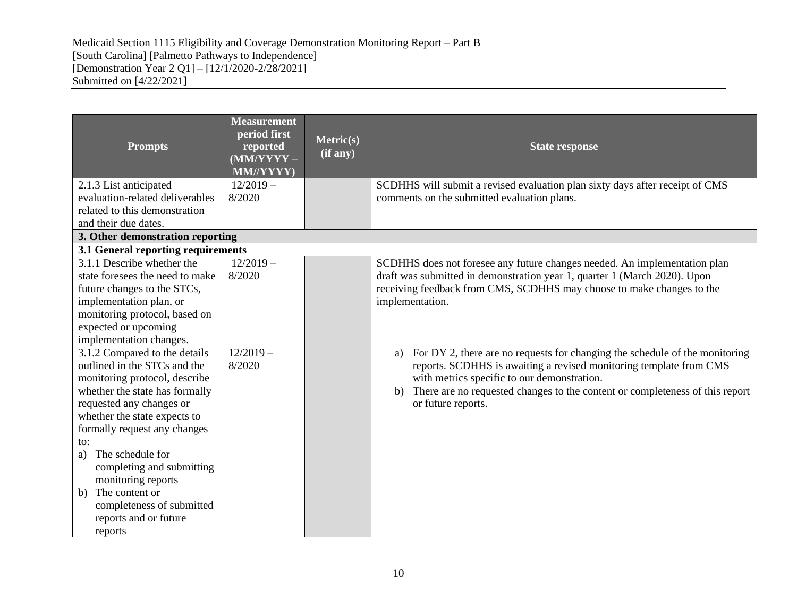| <b>Prompts</b>                                               | <b>Measurement</b><br>period first<br>reported<br>(MM/YYYY-<br>MM//YYYY) | Metric(s)<br>(if any) | <b>State response</b>                                                                    |
|--------------------------------------------------------------|--------------------------------------------------------------------------|-----------------------|------------------------------------------------------------------------------------------|
| 2.1.3 List anticipated<br>evaluation-related deliverables    | $12/2019-$<br>8/2020                                                     |                       | SCDHHS will submit a revised evaluation plan sixty days after receipt of CMS             |
| related to this demonstration                                |                                                                          |                       | comments on the submitted evaluation plans.                                              |
| and their due dates.                                         |                                                                          |                       |                                                                                          |
| 3. Other demonstration reporting                             |                                                                          |                       |                                                                                          |
| 3.1 General reporting requirements                           |                                                                          |                       |                                                                                          |
| 3.1.1 Describe whether the                                   | $12/2019-$                                                               |                       | SCDHHS does not foresee any future changes needed. An implementation plan                |
| state foresees the need to make                              | 8/2020                                                                   |                       | draft was submitted in demonstration year 1, quarter 1 (March 2020). Upon                |
| future changes to the STCs,<br>implementation plan, or       |                                                                          |                       | receiving feedback from CMS, SCDHHS may choose to make changes to the<br>implementation. |
| monitoring protocol, based on                                |                                                                          |                       |                                                                                          |
| expected or upcoming                                         |                                                                          |                       |                                                                                          |
| implementation changes.                                      |                                                                          |                       |                                                                                          |
| 3.1.2 Compared to the details                                | $12/2019 -$                                                              |                       | For DY 2, there are no requests for changing the schedule of the monitoring<br>a)        |
| outlined in the STCs and the                                 | 8/2020                                                                   |                       | reports. SCDHHS is awaiting a revised monitoring template from CMS                       |
| monitoring protocol, describe                                |                                                                          |                       | with metrics specific to our demonstration.                                              |
| whether the state has formally                               |                                                                          |                       | There are no requested changes to the content or completeness of this report<br>b)       |
| requested any changes or                                     |                                                                          |                       | or future reports.                                                                       |
| whether the state expects to<br>formally request any changes |                                                                          |                       |                                                                                          |
| to:                                                          |                                                                          |                       |                                                                                          |
| The schedule for<br>a)                                       |                                                                          |                       |                                                                                          |
| completing and submitting                                    |                                                                          |                       |                                                                                          |
| monitoring reports                                           |                                                                          |                       |                                                                                          |
| The content or<br>b)                                         |                                                                          |                       |                                                                                          |
| completeness of submitted                                    |                                                                          |                       |                                                                                          |
| reports and or future                                        |                                                                          |                       |                                                                                          |
| reports                                                      |                                                                          |                       |                                                                                          |